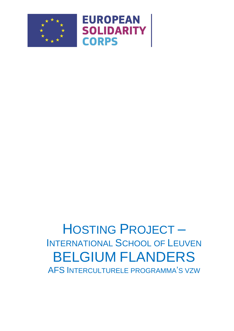



### **HOSTING PROJECT-INTERNATIONAL SCHOOL OF LEUVEN BELGIUM FLANDERS** AFS INTERCULTURELE PROGRAMMA'S VZW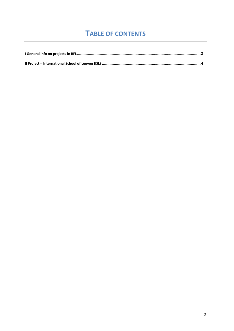### **TABLE OF CONTENTS**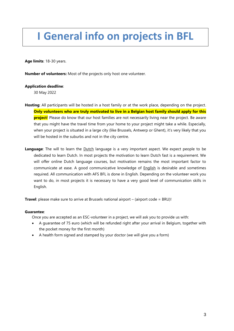## <span id="page-2-0"></span>**I General info on projects in BFL**

**Age limits**: 18-30 years.

**Number of volunteers:** Most of the projects only host one volunteer.

#### **Application deadline**:

30 May 2022

- **Hosting**: All participants will be hosted in a host family or at the work place, depending on the project. **Only volunteers who are truly motivated to live in a Belgian host family should apply for this project**! Please do know that our host families are not necessarily living near the project. Be aware that you might have the travel time from your home to your project might take a while. Especially, when your project is situated in a large city (like Brussels, Antwerp or Ghent), it's very likely that you will be hosted in the suburbs and not in the city centre.
- **Language**: The will to learn the **Dutch language is a very important aspect**. We expect people to be dedicated to learn Dutch. In most projects the motivation to learn Dutch fast is a requirement. We will offer online Dutch language courses, but motivation remains the most important factor to communicate at ease. A good communicative knowledge of English is desirable and sometimes required. All communication with AFS BFL is done in English. Depending on the volunteer work you want to do, in most projects it is necessary to have a very good level of communication skills in English.

**Travel**: please make sure to arrive at Brussels national airport – (airport code = BRU)!

#### **Guarantee**:

Once you are accepted as an ESC-volunteer in a project, we will ask you to provide us with:

- A guarantee of 75 euro (which will be refunded right after your arrival in Belgium, together with the pocket money for the first month)
- A health form signed and stamped by your doctor (we will give you a form)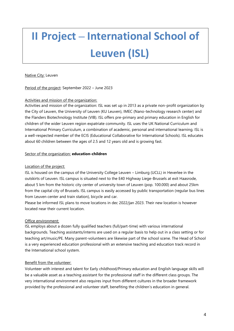# <span id="page-3-0"></span>**II Project – International School of Leuven (ISL)**

#### Native City: Leuven

Period of the project: September 2022 - June 2023

#### Activities and mission of the organization:

Activities and mission of the organization: ISL was set up in 2013 as a private non-profit organization by the City of Leuven, the University of Leuven (KU Leuven), IMEC (Nano-technology research center) and the Flanders Biotechnology Institute (VIB). ISL offers pre-primary and primary education in English for children of the wider Leuven region expatriate community. ISL uses the UK National Curriculum and International Primary Curriculum, a combination of academic, personal and international learning. ISL is a well-respected member of the ECIS (Educational Collaborative for International Schools). ISL educates about 60 children between the ages of 2.5 and 12 years old and is growing fast.

#### Sector of the organization: **education-children**

#### Location of the project:

ISL is housed on the campus of the University College Leuven – Limburg (UCLL) in Heverlee in the outskirts of Leuven. ISL campus is situated next to the E40 Highway Liege-Brussels at exit Haasrode, about 5 km from the historic city center of university town of Leuven (pop. 100.000) and about 25km from the capital city of Brussels. ISL campus is easily accessed by public transportation (regular bus lines from Leuven center and train station), bicycle and car.

Please be informed ISL plans to move locations in dec 2022/jan 2023. Their new location is however located near their current location.

#### Office environment:

ISL employs about a dozen fully qualified teachers (full/part-time) with various international backgrounds. Teaching assistants/interns are used on a regular basis to help out in a class setting or for teaching art/music/PE. Many parent-volunteers are likewise part of the school scene. The Head of School is a very experienced education professional with an extensive teaching and education track record in the International school system.

#### Benefit from the volunteer:

Volunteer with interest and talent for Early childhood/Primary education and English language skills will be a valuable asset as a teaching assistant for the professional staff in the different class groups. The very international environment also requires input from different cultures in the broader framework provided by the professional and volunteer staff, benefiting the children's education in general.